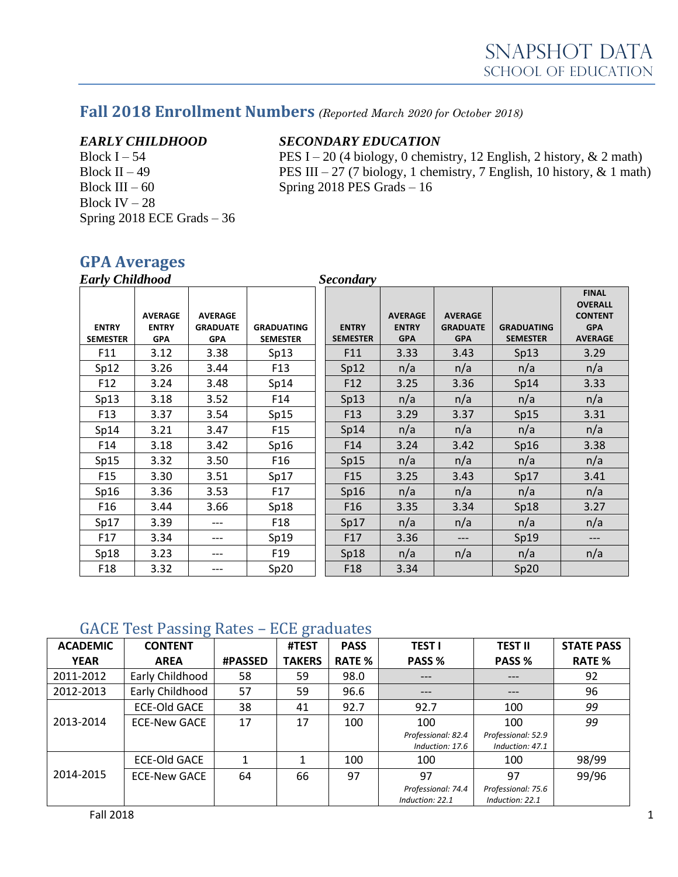### **Fall 2018 Enrollment Numbers** *(Reported March 2020 for October 2018)*

Block III – 60 Spring 2018 PES Grads – 16 Block IV – 28 Spring 2018 ECE Grads – 36

### *EARLY CHILDHOOD SECONDARY EDUCATION*

Block I – 54 PES I – 20 (4 biology, 0 chemistry, 12 English, 2 history,  $\&$  2 math) Block II – 49 PES III – 27 (7 biology, 1 chemistry, 7 English, 10 history,  $\&$  1 math)

### **GPA Averages**

| <b>Early Childhood</b>          |                                              |                                                 |                                      |  | <b>Secondary</b>                |                                              |                                                 |                                      |                                                                                  |
|---------------------------------|----------------------------------------------|-------------------------------------------------|--------------------------------------|--|---------------------------------|----------------------------------------------|-------------------------------------------------|--------------------------------------|----------------------------------------------------------------------------------|
| <b>ENTRY</b><br><b>SEMESTER</b> | <b>AVERAGE</b><br><b>ENTRY</b><br><b>GPA</b> | <b>AVERAGE</b><br><b>GRADUATE</b><br><b>GPA</b> | <b>GRADUATING</b><br><b>SEMESTER</b> |  | <b>ENTRY</b><br><b>SEMESTER</b> | <b>AVERAGE</b><br><b>ENTRY</b><br><b>GPA</b> | <b>AVERAGE</b><br><b>GRADUATE</b><br><b>GPA</b> | <b>GRADUATING</b><br><b>SEMESTER</b> | <b>FINAL</b><br><b>OVERALL</b><br><b>CONTENT</b><br><b>GPA</b><br><b>AVERAGE</b> |
| F11                             | 3.12                                         | 3.38                                            | Sp13                                 |  | F11                             | 3.33                                         | 3.43                                            | Sp13                                 | 3.29                                                                             |
| Sp12                            | 3.26                                         | 3.44                                            | F <sub>13</sub>                      |  | Sp12                            | n/a                                          | n/a                                             | n/a                                  | n/a                                                                              |
| F <sub>12</sub>                 | 3.24                                         | 3.48                                            | Sp14                                 |  | F12                             | 3.25                                         | 3.36                                            | Sp14                                 | 3.33                                                                             |
| Sp13                            | 3.18                                         | 3.52                                            | F14                                  |  | Sp13                            | n/a                                          | n/a                                             | n/a                                  | n/a                                                                              |
| F <sub>13</sub>                 | 3.37                                         | 3.54                                            | Sp15                                 |  | F <sub>13</sub>                 | 3.29                                         | 3.37                                            | Sp15                                 | 3.31                                                                             |
| Sp14                            | 3.21                                         | 3.47                                            | F <sub>15</sub>                      |  | Sp14                            | n/a                                          | n/a                                             | n/a                                  | n/a                                                                              |
| F14                             | 3.18                                         | 3.42                                            | Sp16                                 |  | F14                             | 3.24                                         | 3.42                                            | Sp16                                 | 3.38                                                                             |
| Sp15                            | 3.32                                         | 3.50                                            | F <sub>16</sub>                      |  | Sp15                            | n/a                                          | n/a                                             | n/a                                  | n/a                                                                              |
| F <sub>15</sub>                 | 3.30                                         | 3.51                                            | Sp17                                 |  | F <sub>15</sub>                 | 3.25                                         | 3.43                                            | Sp17                                 | 3.41                                                                             |
| Sp16                            | 3.36                                         | 3.53                                            | F17                                  |  | Sp16                            | n/a                                          | n/a                                             | n/a                                  | n/a                                                                              |
| F <sub>16</sub>                 | 3.44                                         | 3.66                                            | Sp18                                 |  | F <sub>16</sub>                 | 3.35                                         | 3.34                                            | Sp18                                 | 3.27                                                                             |
| Sp17                            | 3.39                                         | ---                                             | F <sub>18</sub>                      |  | Sp17                            | n/a                                          | n/a                                             | n/a                                  | n/a                                                                              |
| F17                             | 3.34                                         | ---                                             | Sp19                                 |  | F17                             | 3.36                                         | ---                                             | Sp19                                 | ---                                                                              |
| Sp18                            | 3.23                                         | $---$                                           | F <sub>19</sub>                      |  | Sp18                            | n/a                                          | n/a                                             | n/a                                  | n/a                                                                              |
| F <sub>18</sub>                 | 3.32                                         |                                                 | Sp20                                 |  | F <sub>18</sub>                 | 3.34                                         |                                                 | Sp20                                 |                                                                                  |

### GACE Test Passing Rates – ECE graduates

| <b>ACADEMIC</b> | ഄ<br><b>CONTENT</b> |                | ഄ<br>#TEST    | <b>PASS</b>   | <b>TEST I</b>                         | <b>TEST II</b>                        | <b>STATE PASS</b> |
|-----------------|---------------------|----------------|---------------|---------------|---------------------------------------|---------------------------------------|-------------------|
| <b>YEAR</b>     | <b>AREA</b>         | <b>#PASSED</b> | <b>TAKERS</b> | <b>RATE %</b> | PASS %                                | PASS %                                | <b>RATE %</b>     |
| 2011-2012       | Early Childhood     | 58             | 59            | 98.0          | $---$                                 | ---                                   | 92                |
| 2012-2013       | Early Childhood     | 57             | 59            | 96.6          | $---$                                 | ---                                   | 96                |
|                 | <b>ECE-Old GACE</b> | 38             | 41            | 92.7          | 92.7                                  | 100                                   | 99                |
| 2013-2014       | <b>ECE-New GACE</b> | 17             | 17            | 100           | 100                                   | 100                                   | 99                |
|                 |                     |                |               |               | Professional: 82.4<br>Induction: 17.6 | Professional: 52.9<br>Induction: 47.1 |                   |
|                 | <b>ECE-Old GACE</b> |                |               | 100           | 100                                   | 100                                   | 98/99             |
| 2014-2015       | <b>ECE-New GACE</b> | 64             | 66            | 97            | 97                                    | 97                                    | 99/96             |
|                 |                     |                |               |               | Professional: 74.4<br>Induction: 22.1 | Professional: 75.6<br>Induction: 22.1 |                   |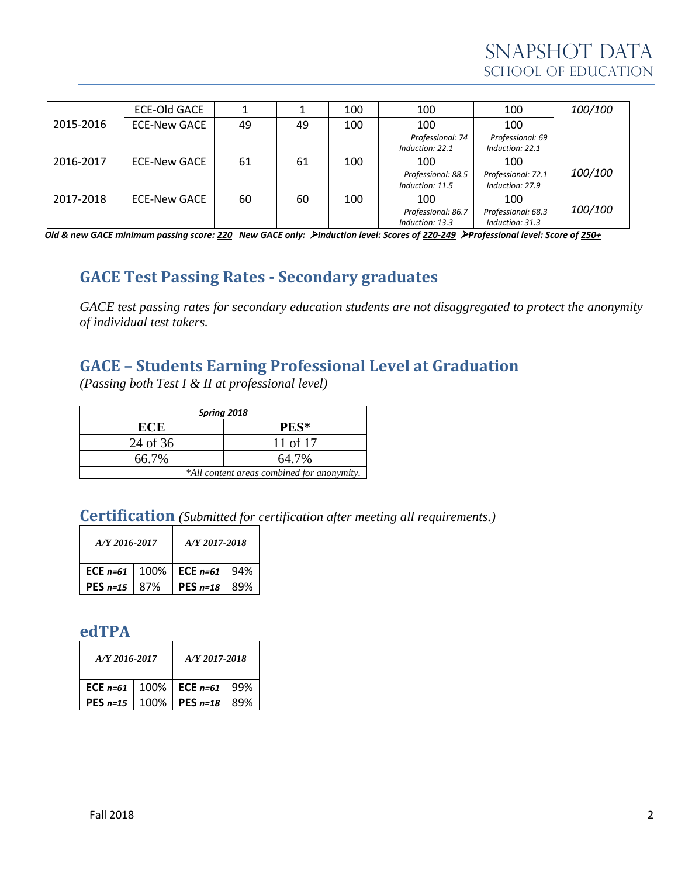|           | <b>ECE-Old GACE</b> |    |    | 100 | 100                                   | 100                                   | 100/100 |
|-----------|---------------------|----|----|-----|---------------------------------------|---------------------------------------|---------|
| 2015-2016 | <b>ECE-New GACE</b> | 49 | 49 | 100 | 100                                   | 100                                   |         |
|           |                     |    |    |     | Professional: 74<br>Induction: 22.1   | Professional: 69<br>Induction: 22.1   |         |
| 2016-2017 | <b>ECE-New GACE</b> | 61 | 61 | 100 | 100                                   | 100                                   |         |
|           |                     |    |    |     | Professional: 88.5<br>Induction: 11.5 | Professional: 72.1<br>Induction: 27.9 | 100/100 |
| 2017-2018 | <b>ECE-New GACE</b> | 60 | 60 | 100 | 100                                   | 100                                   |         |
|           |                     |    |    |     | Professional: 86.7<br>Induction: 13.3 | Professional: 68.3<br>Induction: 31.3 | 100/100 |

*Old & new GACE minimum passing score: 220 New GACE only:* ➢*Induction level: Scores of 220-249* ➢*Professional level: Score of 250+*

# **GACE Test Passing Rates - Secondary graduates**

*GACE test passing rates for secondary education students are not disaggregated to protect the anonymity of individual test takers.*

## **GACE – Students Earning Professional Level at Graduation**

*(Passing both Test I & II at professional level)*

| Spring 2018                                |          |  |  |  |  |  |
|--------------------------------------------|----------|--|--|--|--|--|
| ECE                                        | PES*     |  |  |  |  |  |
| 24 of 36                                   | 11 of 17 |  |  |  |  |  |
| 66.7%                                      | 64.7%    |  |  |  |  |  |
| *All content areas combined for anonymity. |          |  |  |  |  |  |

# **Certification** *(Submitted for certification after meeting all requirements.)*

| A/Y 2016-2017           | A/Y 2017-2018                                      |  |  |  |
|-------------------------|----------------------------------------------------|--|--|--|
|                         | <b>ECE</b> $n=61$   100%   <b>ECE</b> $n=61$   94% |  |  |  |
| <b>PES</b> $n=15$   87% | <b>PES</b> $n=18$ 89%                              |  |  |  |

### **edTPA**

| A/Y 2016-2017 |        | A/Y 2017-2018     |     |  |
|---------------|--------|-------------------|-----|--|
| ECE $n=61$    |        | 100%   ECE $n=61$ | 99% |  |
| $PES n=15$    | 100% L | PES $n=18$        | 89% |  |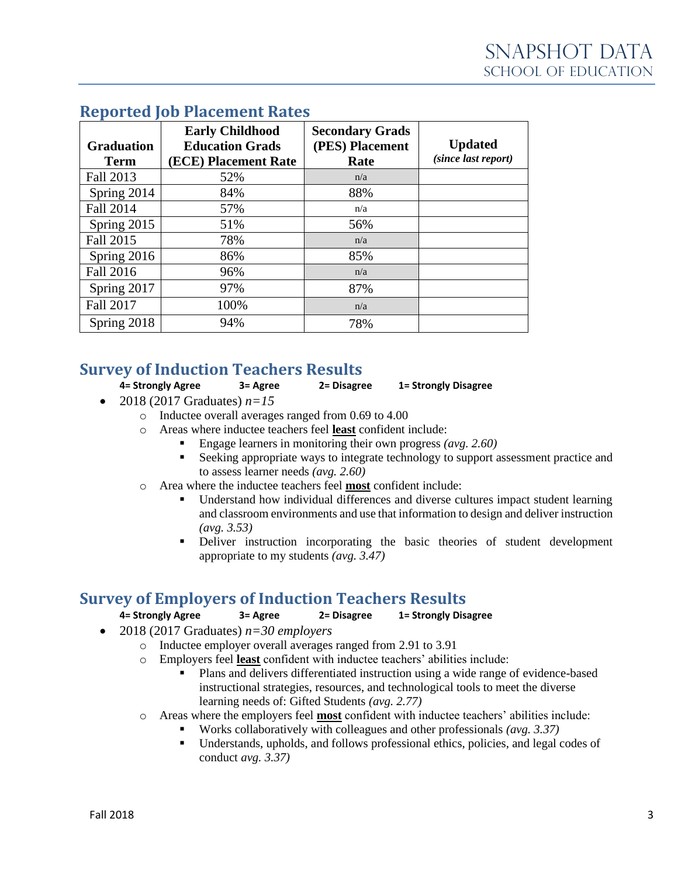| <b>Graduation</b><br><b>Term</b> | <b>Early Childhood</b><br><b>Education Grads</b><br>(ECE) Placement Rate | <b>Secondary Grads</b><br>(PES) Placement<br>Rate | <b>Updated</b><br>(since last report) |
|----------------------------------|--------------------------------------------------------------------------|---------------------------------------------------|---------------------------------------|
| Fall 2013                        | 52%                                                                      | n/a                                               |                                       |
| Spring 2014                      | 84%                                                                      | 88%                                               |                                       |
| Fall 2014                        | 57%                                                                      | n/a                                               |                                       |
| Spring 2015                      | 51%                                                                      | 56%                                               |                                       |
| Fall 2015                        | 78%                                                                      | n/a                                               |                                       |
| Spring 2016                      | 86%                                                                      | 85%                                               |                                       |
| Fall 2016                        | 96%                                                                      | n/a                                               |                                       |
| Spring 2017                      | 97%                                                                      | 87%                                               |                                       |
| <b>Fall 2017</b>                 | 100%                                                                     | n/a                                               |                                       |
| Spring 2018                      | 94%                                                                      | 78%                                               |                                       |

### **Reported Job Placement Rates**

### **Survey of Induction Teachers Results**

**4= Strongly Agree 3= Agree 2= Disagree 1= Strongly Disagree**

- 2018 (2017 Graduates)  $n=15$ 
	- o Inductee overall averages ranged from 0.69 to 4.00
	- o Areas where inductee teachers feel **least** confident include:
		- Engage learners in monitoring their own progress *(avg. 2.60)*
		- Seeking appropriate ways to integrate technology to support assessment practice and to assess learner needs *(avg. 2.60)*
	- o Area where the inductee teachers feel **most** confident include:
		- Understand how individual differences and diverse cultures impact student learning and classroom environments and use that information to design and deliver instruction *(avg. 3.53)*
		- **•** Deliver instruction incorporating the basic theories of student development appropriate to my students *(avg. 3.47)*

### **Survey of Employers of Induction Teachers Results**

**4= Strongly Agree 3= Agree 2= Disagree 1= Strongly Disagree**

- 2018 (2017 Graduates) *n=30 employers*
	- o Inductee employer overall averages ranged from 2.91 to 3.91
	- o Employers feel **least** confident with inductee teachers' abilities include:
		- Plans and delivers differentiated instruction using a wide range of evidence-based instructional strategies, resources, and technological tools to meet the diverse learning needs of: Gifted Students *(avg. 2.77)*
	- o Areas where the employers feel **most** confident with inductee teachers' abilities include:
		- Works collaboratively with colleagues and other professionals *(avg. 3.37)*
		- Understands, upholds, and follows professional ethics, policies, and legal codes of conduct *avg. 3.37)*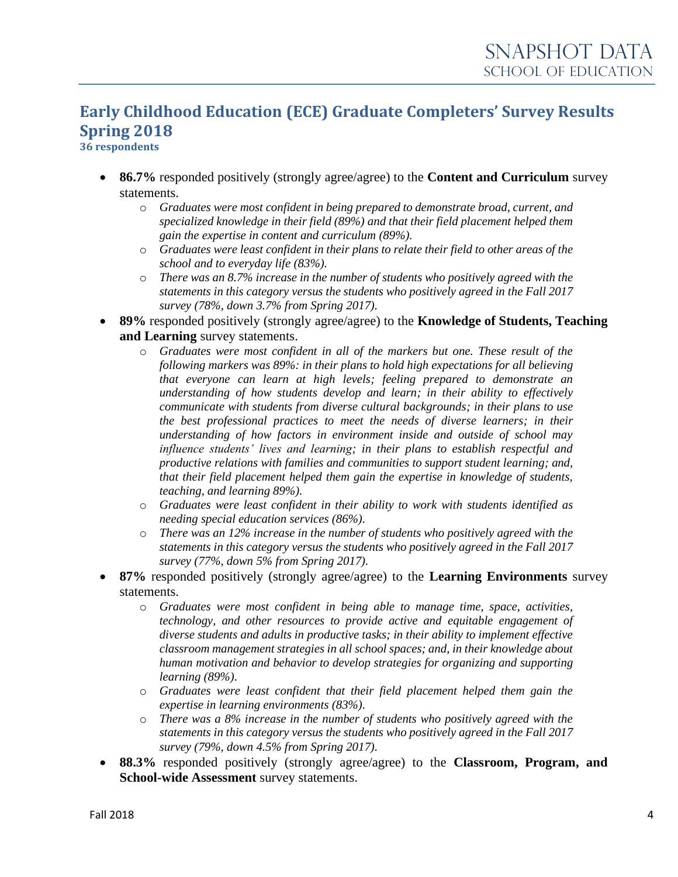# **Early Childhood Education (ECE) Graduate Completers' Survey Results Spring 2018**

**36 respondents**

- **86.7%** responded positively (strongly agree/agree) to the **Content and Curriculum** survey statements.
	- o *Graduates were most confident in being prepared to demonstrate broad, current, and specialized knowledge in their field (89%) and that their field placement helped them gain the expertise in content and curriculum (89%).*
	- o *Graduates were least confident in their plans to relate their field to other areas of the school and to everyday life (83%).*
	- o *There was an 8.7% increase in the number of students who positively agreed with the statements in this category versus the students who positively agreed in the Fall 2017 survey (78%, down 3.7% from Spring 2017).*
- **89%** responded positively (strongly agree/agree) to the **Knowledge of Students, Teaching and Learning** survey statements.
	- o *Graduates were most confident in all of the markers but one. These result of the following markers was 89%: in their plans to hold high expectations for all believing that everyone can learn at high levels; feeling prepared to demonstrate an understanding of how students develop and learn; in their ability to effectively communicate with students from diverse cultural backgrounds; in their plans to use the best professional practices to meet the needs of diverse learners; in their understanding of how factors in environment inside and outside of school may influence students' lives and learning; in their plans to establish respectful and productive relations with families and communities to support student learning; and, that their field placement helped them gain the expertise in knowledge of students, teaching, and learning 89%).*
	- o *Graduates were least confident in their ability to work with students identified as needing special education services (86%).*
	- o *There was an 12% increase in the number of students who positively agreed with the statements in this category versus the students who positively agreed in the Fall 2017 survey (77%, down 5% from Spring 2017).*
- **87%** responded positively (strongly agree/agree) to the **Learning Environments** survey statements.
	- o *Graduates were most confident in being able to manage time, space, activities, technology, and other resources to provide active and equitable engagement of diverse students and adults in productive tasks; in their ability to implement effective classroom management strategies in all school spaces; and, in their knowledge about human motivation and behavior to develop strategies for organizing and supporting learning (89%).*
	- o *Graduates were least confident that their field placement helped them gain the expertise in learning environments (83%).*
	- o *There was a 8% increase in the number of students who positively agreed with the statements in this category versus the students who positively agreed in the Fall 2017 survey (79%, down 4.5% from Spring 2017).*
- **88.3%** responded positively (strongly agree/agree) to the **Classroom, Program, and School-wide Assessment** survey statements.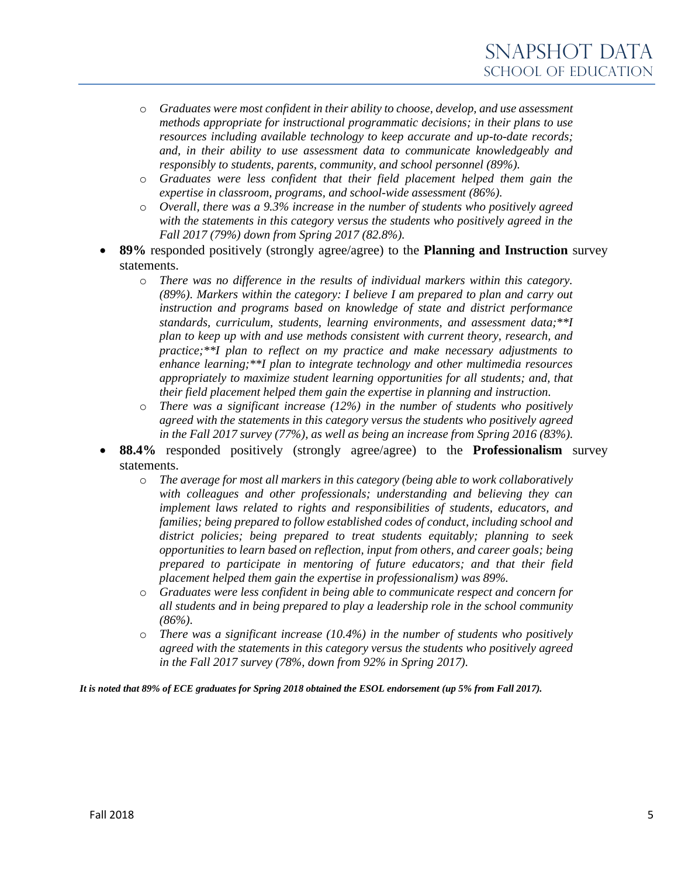- o *Graduates were most confident in their ability to choose, develop, and use assessment methods appropriate for instructional programmatic decisions; in their plans to use resources including available technology to keep accurate and up-to-date records; and, in their ability to use assessment data to communicate knowledgeably and responsibly to students, parents, community, and school personnel (89%).*
- o *Graduates were less confident that their field placement helped them gain the expertise in classroom, programs, and school-wide assessment (86%).*
- o *Overall, there was a 9.3% increase in the number of students who positively agreed with the statements in this category versus the students who positively agreed in the Fall 2017 (79%) down from Spring 2017 (82.8%).*
- **89%** responded positively (strongly agree/agree) to the **Planning and Instruction** survey statements.
	- o *There was no difference in the results of individual markers within this category. (89%). Markers within the category: I believe I am prepared to plan and carry out instruction and programs based on knowledge of state and district performance standards, curriculum, students, learning environments, and assessment data;\*\*I plan to keep up with and use methods consistent with current theory, research, and practice;\*\*I plan to reflect on my practice and make necessary adjustments to enhance learning;\*\*I plan to integrate technology and other multimedia resources appropriately to maximize student learning opportunities for all students; and, that their field placement helped them gain the expertise in planning and instruction.*
	- o *There was a significant increase (12%) in the number of students who positively agreed with the statements in this category versus the students who positively agreed in the Fall 2017 survey (77%), as well as being an increase from Spring 2016 (83%).*
- **88.4%** responded positively (strongly agree/agree) to the **Professionalism** survey statements.
	- o *The average for most all markers in this category (being able to work collaboratively with colleagues and other professionals; understanding and believing they can implement laws related to rights and responsibilities of students, educators, and families; being prepared to follow established codes of conduct, including school and district policies; being prepared to treat students equitably; planning to seek opportunities to learn based on reflection, input from others, and career goals; being prepared to participate in mentoring of future educators; and that their field placement helped them gain the expertise in professionalism) was 89%.*
	- o *Graduates were less confident in being able to communicate respect and concern for all students and in being prepared to play a leadership role in the school community (86%).*
	- o *There was a significant increase (10.4%) in the number of students who positively agreed with the statements in this category versus the students who positively agreed in the Fall 2017 survey (78%, down from 92% in Spring 2017).*

*It is noted that 89% of ECE graduates for Spring 2018 obtained the ESOL endorsement (up 5% from Fall 2017).*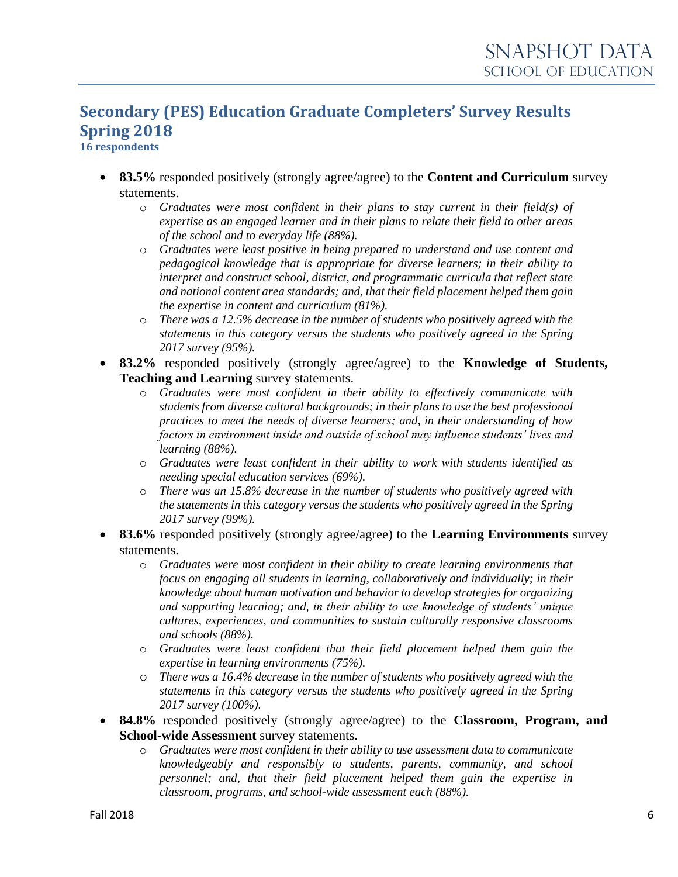# **Secondary (PES) Education Graduate Completers' Survey Results Spring 2018**

**16 respondents**

- **83.5%** responded positively (strongly agree/agree) to the **Content and Curriculum** survey statements.
	- o *Graduates were most confident in their plans to stay current in their field(s) of expertise as an engaged learner and in their plans to relate their field to other areas of the school and to everyday life (88%).*
	- o *Graduates were least positive in being prepared to understand and use content and pedagogical knowledge that is appropriate for diverse learners; in their ability to interpret and construct school, district, and programmatic curricula that reflect state and national content area standards; and, that their field placement helped them gain the expertise in content and curriculum (81%).*
	- o *There was a 12.5% decrease in the number of students who positively agreed with the statements in this category versus the students who positively agreed in the Spring 2017 survey (95%).*
- **83.2%** responded positively (strongly agree/agree) to the **Knowledge of Students, Teaching and Learning** survey statements.
	- o *Graduates were most confident in their ability to effectively communicate with students from diverse cultural backgrounds; in their plans to use the best professional practices to meet the needs of diverse learners; and, in their understanding of how factors in environment inside and outside of school may influence students' lives and learning (88%).*
	- o *Graduates were least confident in their ability to work with students identified as needing special education services (69%).*
	- o *There was an 15.8% decrease in the number of students who positively agreed with the statements in this category versus the students who positively agreed in the Spring 2017 survey (99%).*
- **83.6%** responded positively (strongly agree/agree) to the **Learning Environments** survey statements.
	- o *Graduates were most confident in their ability to create learning environments that focus on engaging all students in learning, collaboratively and individually; in their knowledge about human motivation and behavior to develop strategies for organizing and supporting learning; and, in their ability to use knowledge of students' unique cultures, experiences, and communities to sustain culturally responsive classrooms and schools (88%).*
	- o *Graduates were least confident that their field placement helped them gain the expertise in learning environments (75%).*
	- o *There was a 16.4% decrease in the number of students who positively agreed with the statements in this category versus the students who positively agreed in the Spring 2017 survey (100%).*
- **84.8%** responded positively (strongly agree/agree) to the **Classroom, Program, and School-wide Assessment** survey statements.
	- o *Graduates were most confident in their ability to use assessment data to communicate knowledgeably and responsibly to students, parents, community, and school personnel; and, that their field placement helped them gain the expertise in classroom, programs, and school-wide assessment each (88%).*